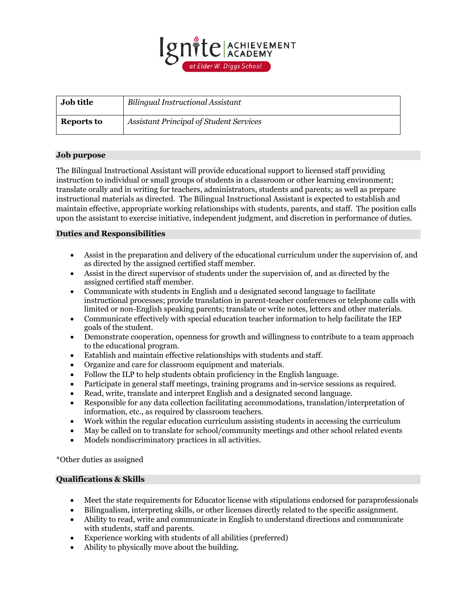

| <b>Job title</b> | <b>Bilingual Instructional Assistant</b>       |
|------------------|------------------------------------------------|
| Reports to       | <b>Assistant Principal of Student Services</b> |

## **Job purpose**

The Bilingual Instructional Assistant will provide educational support to licensed staff providing instruction to individual or small groups of students in a classroom or other learning environment; translate orally and in writing for teachers, administrators, students and parents; as well as prepare instructional materials as directed. The Bilingual Instructional Assistant is expected to establish and maintain effective, appropriate working relationships with students, parents, and staff. The position calls upon the assistant to exercise initiative, independent judgment, and discretion in performance of duties.

## **Duties and Responsibilities**

- Assist in the preparation and delivery of the educational curriculum under the supervision of, and as directed by the assigned certified staff member.
- Assist in the direct supervisor of students under the supervision of, and as directed by the assigned certified staff member.
- Communicate with students in English and a designated second language to facilitate instructional processes; provide translation in parent-teacher conferences or telephone calls with limited or non-English speaking parents; translate or write notes, letters and other materials.
- Communicate effectively with special education teacher information to help facilitate the IEP goals of the student.
- Demonstrate cooperation, openness for growth and willingness to contribute to a team approach to the educational program.
- Establish and maintain effective relationships with students and staff.
- Organize and care for classroom equipment and materials.
- Follow the ILP to help students obtain proficiency in the English language.
- Participate in general staff meetings, training programs and in-service sessions as required.
- Read, write, translate and interpret English and a designated second language.
- Responsible for any data collection facilitating accommodations, translation/interpretation of information, etc., as required by classroom teachers.
- Work within the regular education curriculum assisting students in accessing the curriculum
- May be called on to translate for school/community meetings and other school related events
- Models nondiscriminatory practices in all activities.

\*Other duties as assigned

## **Qualifications & Skills**

- Meet the state requirements for Educator license with stipulations endorsed for paraprofessionals
- Bilingualism, interpreting skills, or other licenses directly related to the specific assignment.
- Ability to read, write and communicate in English to understand directions and communicate with students, staff and parents.
- Experience working with students of all abilities (preferred)
- Ability to physically move about the building.